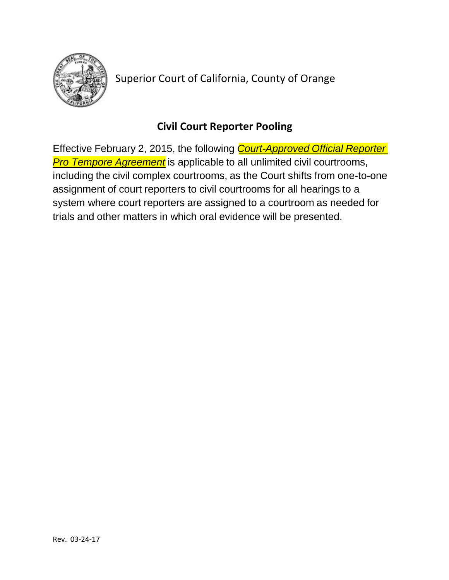

Superior Court of California, County of Orange

## **Civil Court Reporter Pooling**

Effective February 2, 2015, the following *Court-Approved Official Reporter Pro Tempore Agreement* is applicable to all unlimited civil courtrooms, including the civil complex courtrooms, as the Court shifts from one-to-one assignment of court reporters to civil courtrooms for all hearings to a system where court reporters are assigned to a courtroom as needed for trials and other matters in which oral evidence will be presented.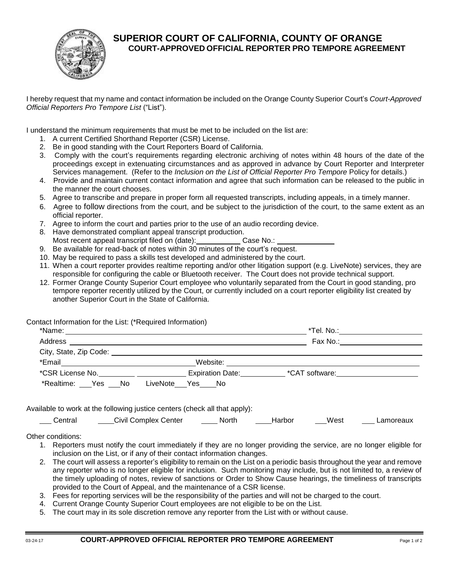

## **SUPERIOR COURT OF CALIFORNIA, COUNTY OF ORANGE COURT-APPROVED OFFICIAL REPORTER PRO TEMPORE AGREEMENT**

I hereby request that my name and contact information be included on the Orange County Superior Court's *Court-Approved Official Reporters Pro Tempore List* ("List").

I understand the minimum requirements that must be met to be included on the list are:

- 1. A current Certified Shorthand Reporter (CSR) License.
- 2. Be in good standing with the Court Reporters Board of California.
- 3. Comply with the court's requirements regarding electronic archiving of notes within 48 hours of the date of the proceedings except in extenuating circumstances and as approved in advance by Court Reporter and Interpreter Services management. (Refer to the *Inclusion on the List of Official Reporter Pro Tempore* Policy for details.)
- 4. Provide and maintain current contact information and agree that such information can be released to the public in the manner the court chooses.
- 5. Agree to transcribe and prepare in proper form all requested transcripts, including appeals, in a timely manner.
- 6. Agree to follow directions from the court, and be subject to the jurisdiction of the court, to the same extent as an official reporter.
- 7. Agree to inform the court and parties prior to the use of an audio recording device.
- 8. Have demonstrated compliant appeal transcript production.
- Most recent appeal transcript filed on (date): Case No.:
- 9. Be available for read-back of notes within 30 minutes of the court's request.
- 10. May be required to pass a skills test developed and administered by the court.
- 11. When a court reporter provides realtime reporting and/or other litigation support (e.g. LiveNote) services, they are responsible for configuring the cable or Bluetooth receiver. The Court does not provide technical support.
- 12. Former Orange County Superior Court employee who voluntarily separated from the Court in good standing, pro tempore reporter recently utilized by the Court, or currently included on a court reporter eligibility list created by another Superior Court in the State of California.

Contact Information for the List: (\*Required Information)

|                        | $*$ Tel. No.: _______________ |                                      |  |
|------------------------|-------------------------------|--------------------------------------|--|
| Address                | Fax No.: __________           |                                      |  |
| City, State, Zip Code: |                               |                                      |  |
| *Email                 | Website:                      |                                      |  |
| *CSR License No.       | <b>Expiration Date:</b>       | *CAT software: <u>______________</u> |  |
| *Realtime: Yes<br>No.  | LiveNote<br>Yes No            |                                      |  |

Available to work at the following justice centers (check all that apply):

| Central | <b>Civil Complex Center</b> | North. | Harbor | West | ∟amoreaux |
|---------|-----------------------------|--------|--------|------|-----------|
|---------|-----------------------------|--------|--------|------|-----------|

Other conditions:

- 1. Reporters must notify the court immediately if they are no longer providing the service, are no longer eligible for inclusion on the List, or if any of their contact information changes.
- 2. The court will assess a reporter's eligibility to remain on the List on a periodic basis throughout the year and remove any reporter who is no longer eligible for inclusion. Such monitoring may include, but is not limited to, a review of the timely uploading of notes, review of sanctions or Order to Show Cause hearings, the timeliness of transcripts provided to the Court of Appeal, and the maintenance of a CSR license.
- 3. Fees for reporting services will be the responsibility of the parties and will not be charged to the court.
- 4. Current Orange County Superior Court employees are not eligible to be on the List.
- 5. The court may in its sole discretion remove any reporter from the List with or without cause.